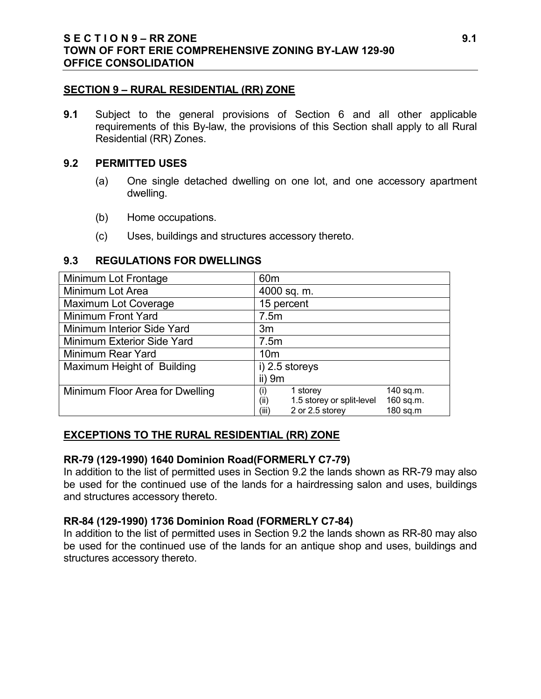#### **SECTION 9 – RURAL RESIDENTIAL (RR) ZONE**

**9.1** Subject to the general provisions of Section 6 and all other applicable requirements of this By-law, the provisions of this Section shall apply to all Rural Residential (RR) Zones.

#### **9.2 PERMITTED USES**

- (a) One single detached dwelling on one lot, and one accessory apartment dwelling.
- (b) Home occupations.
- (c) Uses, buildings and structures accessory thereto.

### **9.3 REGULATIONS FOR DWELLINGS**

| Minimum Lot Frontage            | 60 <sub>m</sub>                                |
|---------------------------------|------------------------------------------------|
| Minimum Lot Area                | 4000 sq. m.                                    |
| <b>Maximum Lot Coverage</b>     | 15 percent                                     |
| Minimum Front Yard              | 7.5m                                           |
| Minimum Interior Side Yard      | 3m                                             |
| Minimum Exterior Side Yard      | 7.5m                                           |
| Minimum Rear Yard               | 10 <sub>m</sub>                                |
| Maximum Height of Building      | i) 2.5 storeys                                 |
|                                 | $ii)$ 9 $m$                                    |
| Minimum Floor Area for Dwelling | 140 sq.m.<br>1 storey<br>(i)                   |
|                                 | 1.5 storey or split-level<br>160 sq.m.<br>(ii) |
|                                 | (iii)<br>2 or 2.5 storey<br>180 sq.m           |

### **EXCEPTIONS TO THE RURAL RESIDENTIAL (RR) ZONE**

### **RR-79 (129-1990) 1640 Dominion Road(FORMERLY C7-79)**

In addition to the list of permitted uses in Section 9.2 the lands shown as RR-79 may also be used for the continued use of the lands for a hairdressing salon and uses, buildings and structures accessory thereto.

### **RR-84 (129-1990) 1736 Dominion Road (FORMERLY C7-84)**

In addition to the list of permitted uses in Section 9.2 the lands shown as RR-80 may also be used for the continued use of the lands for an antique shop and uses, buildings and structures accessory thereto.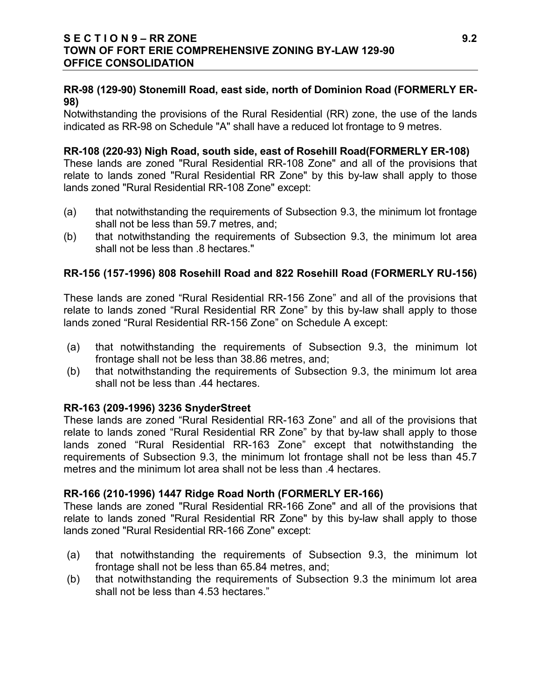# **RR-98 (129-90) Stonemill Road, east side, north of Dominion Road (FORMERLY ER-98)**

Notwithstanding the provisions of the Rural Residential (RR) zone, the use of the lands indicated as RR-98 on Schedule "A" shall have a reduced lot frontage to 9 metres.

### **RR-108 (220-93) Nigh Road, south side, east of Rosehill Road(FORMERLY ER-108)**

These lands are zoned "Rural Residential RR-108 Zone" and all of the provisions that relate to lands zoned "Rural Residential RR Zone" by this by-law shall apply to those lands zoned "Rural Residential RR-108 Zone" except:

- (a) that notwithstanding the requirements of Subsection 9.3, the minimum lot frontage shall not be less than 59.7 metres, and;
- (b) that notwithstanding the requirements of Subsection 9.3, the minimum lot area shall not be less than .8 hectares."

### **RR-156 (157-1996) 808 Rosehill Road and 822 Rosehill Road (FORMERLY RU-156)**

These lands are zoned "Rural Residential RR-156 Zone" and all of the provisions that relate to lands zoned "Rural Residential RR Zone" by this by-law shall apply to those lands zoned "Rural Residential RR-156 Zone" on Schedule A except:

- (a) that notwithstanding the requirements of Subsection 9.3, the minimum lot frontage shall not be less than 38.86 metres, and;
- (b) that notwithstanding the requirements of Subsection 9.3, the minimum lot area shall not be less than .44 hectares.

### **RR-163 (209-1996) 3236 SnyderStreet**

These lands are zoned "Rural Residential RR-163 Zone" and all of the provisions that relate to lands zoned "Rural Residential RR Zone" by that by-law shall apply to those lands zoned "Rural Residential RR-163 Zone" except that notwithstanding the requirements of Subsection 9.3, the minimum lot frontage shall not be less than 45.7 metres and the minimum lot area shall not be less than .4 hectares.

### **RR-166 (210-1996) 1447 Ridge Road North (FORMERLY ER-166)**

These lands are zoned "Rural Residential RR-166 Zone" and all of the provisions that relate to lands zoned "Rural Residential RR Zone" by this by-law shall apply to those lands zoned "Rural Residential RR-166 Zone" except:

- (a) that notwithstanding the requirements of Subsection 9.3, the minimum lot frontage shall not be less than 65.84 metres, and;
- (b) that notwithstanding the requirements of Subsection 9.3 the minimum lot area shall not be less than 4.53 hectares."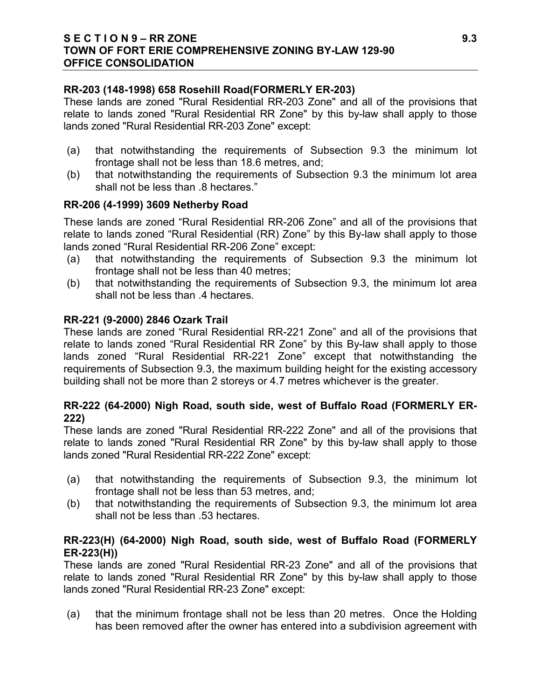### **S E C T I O N 9 – RR ZONE 9.3 TOWN OF FORT ERIE COMPREHENSIVE ZONING BY-LAW 129-90 OFFICE CONSOLIDATION**

### **RR-203 (148-1998) 658 Rosehill Road(FORMERLY ER-203)**

These lands are zoned "Rural Residential RR-203 Zone" and all of the provisions that relate to lands zoned "Rural Residential RR Zone" by this by-law shall apply to those lands zoned "Rural Residential RR-203 Zone" except:

- (a) that notwithstanding the requirements of Subsection 9.3 the minimum lot frontage shall not be less than 18.6 metres, and;
- (b) that notwithstanding the requirements of Subsection 9.3 the minimum lot area shall not be less than .8 hectares."

# **RR-206 (4-1999) 3609 Netherby Road**

These lands are zoned "Rural Residential RR-206 Zone" and all of the provisions that relate to lands zoned "Rural Residential (RR) Zone" by this By-law shall apply to those lands zoned "Rural Residential RR-206 Zone" except:

- (a) that notwithstanding the requirements of Subsection 9.3 the minimum lot frontage shall not be less than 40 metres;
- (b) that notwithstanding the requirements of Subsection 9.3, the minimum lot area shall not be less than .4 hectares.

# **RR-221 (9-2000) 2846 Ozark Trail**

These lands are zoned "Rural Residential RR-221 Zone" and all of the provisions that relate to lands zoned "Rural Residential RR Zone" by this By-law shall apply to those lands zoned "Rural Residential RR-221 Zone" except that notwithstanding the requirements of Subsection 9.3, the maximum building height for the existing accessory building shall not be more than 2 storeys or 4.7 metres whichever is the greater.

# **RR-222 (64-2000) Nigh Road, south side, west of Buffalo Road (FORMERLY ER-222)**

These lands are zoned "Rural Residential RR-222 Zone" and all of the provisions that relate to lands zoned "Rural Residential RR Zone" by this by-law shall apply to those lands zoned "Rural Residential RR-222 Zone" except:

- (a) that notwithstanding the requirements of Subsection 9.3, the minimum lot frontage shall not be less than 53 metres, and;
- (b) that notwithstanding the requirements of Subsection 9.3, the minimum lot area shall not be less than .53 hectares.

# **RR-223(H) (64-2000) Nigh Road, south side, west of Buffalo Road (FORMERLY ER-223(H))**

These lands are zoned "Rural Residential RR-23 Zone" and all of the provisions that relate to lands zoned "Rural Residential RR Zone" by this by-law shall apply to those lands zoned "Rural Residential RR-23 Zone" except:

(a) that the minimum frontage shall not be less than 20 metres. Once the Holding has been removed after the owner has entered into a subdivision agreement with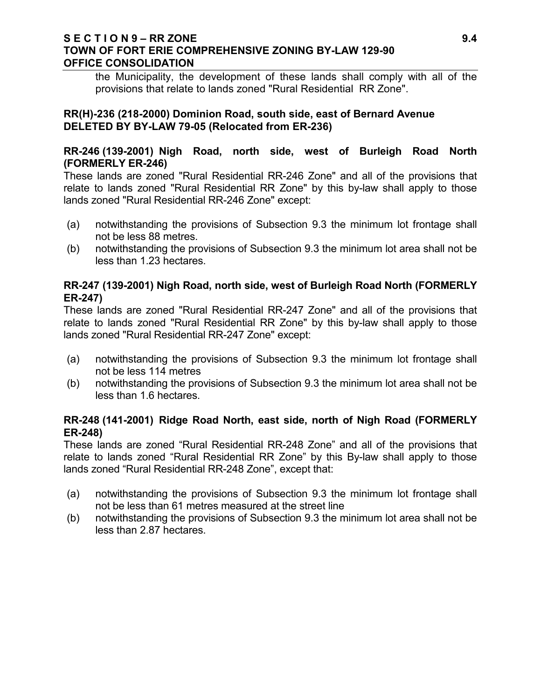### **S E C T I O N 9 – RR ZONE 9.4 TOWN OF FORT ERIE COMPREHENSIVE ZONING BY-LAW 129-90 OFFICE CONSOLIDATION**

the Municipality, the development of these lands shall comply with all of the provisions that relate to lands zoned "Rural Residential RR Zone".

### **RR(H)-236 (218-2000) Dominion Road, south side, east of Bernard Avenue DELETED BY BY-LAW 79-05 (Relocated from ER-236)**

## **RR-246 (139-2001) Nigh Road, north side, west of Burleigh Road North (FORMERLY ER-246)**

These lands are zoned "Rural Residential RR-246 Zone" and all of the provisions that relate to lands zoned "Rural Residential RR Zone" by this by-law shall apply to those lands zoned "Rural Residential RR-246 Zone" except:

- (a) notwithstanding the provisions of Subsection 9.3 the minimum lot frontage shall not be less 88 metres.
- (b) notwithstanding the provisions of Subsection 9.3 the minimum lot area shall not be less than 1.23 hectares.

# **RR-247 (139-2001) Nigh Road, north side, west of Burleigh Road North (FORMERLY ER-247)**

These lands are zoned "Rural Residential RR-247 Zone" and all of the provisions that relate to lands zoned "Rural Residential RR Zone" by this by-law shall apply to those lands zoned "Rural Residential RR-247 Zone" except:

- (a) notwithstanding the provisions of Subsection 9.3 the minimum lot frontage shall not be less 114 metres
- (b) notwithstanding the provisions of Subsection 9.3 the minimum lot area shall not be less than 1.6 hectares.

# **RR-248 (141-2001) Ridge Road North, east side, north of Nigh Road (FORMERLY ER-248)**

These lands are zoned "Rural Residential RR-248 Zone" and all of the provisions that relate to lands zoned "Rural Residential RR Zone" by this By-law shall apply to those lands zoned "Rural Residential RR-248 Zone", except that:

- (a) notwithstanding the provisions of Subsection 9.3 the minimum lot frontage shall not be less than 61 metres measured at the street line
- (b) notwithstanding the provisions of Subsection 9.3 the minimum lot area shall not be less than 2.87 hectares.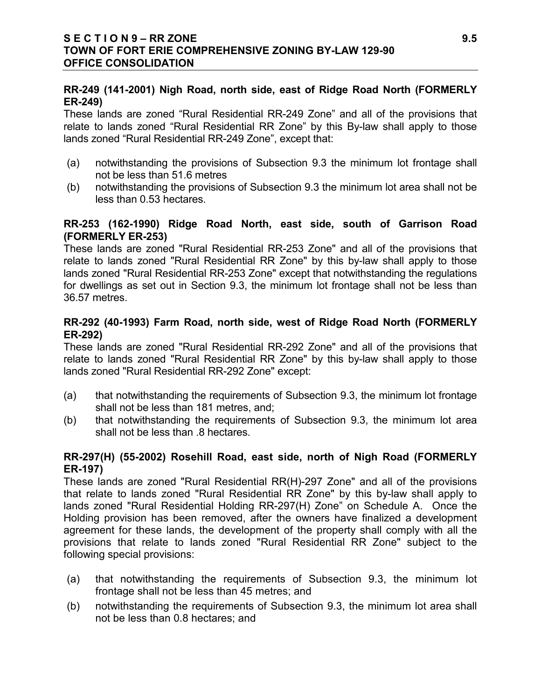# **RR-249 (141-2001) Nigh Road, north side, east of Ridge Road North (FORMERLY ER-249)**

These lands are zoned "Rural Residential RR-249 Zone" and all of the provisions that relate to lands zoned "Rural Residential RR Zone" by this By-law shall apply to those lands zoned "Rural Residential RR-249 Zone", except that:

- (a) notwithstanding the provisions of Subsection 9.3 the minimum lot frontage shall not be less than 51.6 metres
- (b) notwithstanding the provisions of Subsection 9.3 the minimum lot area shall not be less than 0.53 hectares.

# **RR-253 (162-1990) Ridge Road North, east side, south of Garrison Road (FORMERLY ER-253)**

These lands are zoned "Rural Residential RR-253 Zone" and all of the provisions that relate to lands zoned "Rural Residential RR Zone" by this by-law shall apply to those lands zoned "Rural Residential RR-253 Zone" except that notwithstanding the regulations for dwellings as set out in Section 9.3, the minimum lot frontage shall not be less than 36.57 metres.

# **RR-292 (40-1993) Farm Road, north side, west of Ridge Road North (FORMERLY ER-292)**

These lands are zoned "Rural Residential RR-292 Zone" and all of the provisions that relate to lands zoned "Rural Residential RR Zone" by this by-law shall apply to those lands zoned "Rural Residential RR-292 Zone" except:

- (a) that notwithstanding the requirements of Subsection 9.3, the minimum lot frontage shall not be less than 181 metres, and;
- (b) that notwithstanding the requirements of Subsection 9.3, the minimum lot area shall not be less than .8 hectares.

# **RR-297(H) (55-2002) Rosehill Road, east side, north of Nigh Road (FORMERLY ER-197)**

These lands are zoned "Rural Residential RR(H)-297 Zone" and all of the provisions that relate to lands zoned "Rural Residential RR Zone" by this by-law shall apply to lands zoned "Rural Residential Holding RR-297(H) Zone" on Schedule A. Once the Holding provision has been removed, after the owners have finalized a development agreement for these lands, the development of the property shall comply with all the provisions that relate to lands zoned "Rural Residential RR Zone" subject to the following special provisions:

- (a) that notwithstanding the requirements of Subsection 9.3, the minimum lot frontage shall not be less than 45 metres; and
- (b) notwithstanding the requirements of Subsection 9.3, the minimum lot area shall not be less than 0.8 hectares; and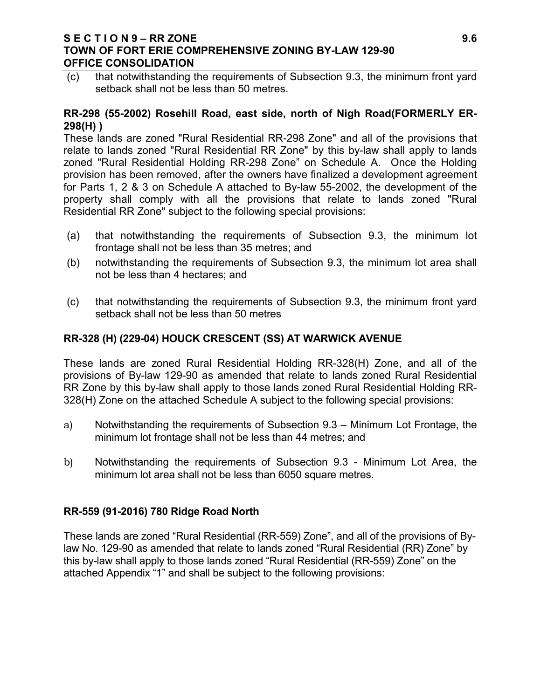### **S E C T I O N 9 – RR ZONE 9.6 TOWN OF FORT ERIE COMPREHENSIVE ZONING BY-LAW 129-90 OFFICE CONSOLIDATION**

(c) that notwithstanding the requirements of Subsection 9.3, the minimum front yard setback shall not be less than 50 metres.

### **RR-298 (55-2002) Rosehill Road, east side, north of Nigh Road(FORMERLY ER-298(H) )**

These lands are zoned "Rural Residential RR-298 Zone" and all of the provisions that relate to lands zoned "Rural Residential RR Zone" by this by-law shall apply to lands zoned "Rural Residential Holding RR-298 Zone" on Schedule A. Once the Holding provision has been removed, after the owners have finalized a development agreement for Parts 1, 2 & 3 on Schedule A attached to By-law 55-2002, the development of the property shall comply with all the provisions that relate to lands zoned "Rural Residential RR Zone" subject to the following special provisions:

- (a) that notwithstanding the requirements of Subsection 9.3, the minimum lot frontage shall not be less than 35 metres; and
- (b) notwithstanding the requirements of Subsection 9.3, the minimum lot area shall not be less than 4 hectares; and
- (c) that notwithstanding the requirements of Subsection 9.3, the minimum front yard setback shall not be less than 50 metres

# **RR-328 (H) (229-04) HOUCK CRESCENT (SS) AT WARWICK AVENUE**

These lands are zoned Rural Residential Holding RR-328(H) Zone, and all of the provisions of By-law 129-90 as amended that relate to lands zoned Rural Residential RR Zone by this by-law shall apply to those lands zoned Rural Residential Holding RR-328(H) Zone on the attached Schedule A subject to the following special provisions:

- a) Notwithstanding the requirements of Subsection 9.3 Minimum Lot Frontage, the minimum lot frontage shall not be less than 44 metres; and
- b) Notwithstanding the requirements of Subsection 9.3 Minimum Lot Area, the minimum lot area shall not be less than 6050 square metres.

### **RR-559 (91-2016) 780 Ridge Road North**

These lands are zoned "Rural Residential (RR-559) Zone", and all of the provisions of Bylaw No. 129-90 as amended that relate to lands zoned "Rural Residential (RR) Zone" by this by-law shall apply to those lands zoned "Rural Residential (RR-559) Zone" on the attached Appendix "1" and shall be subject to the following provisions: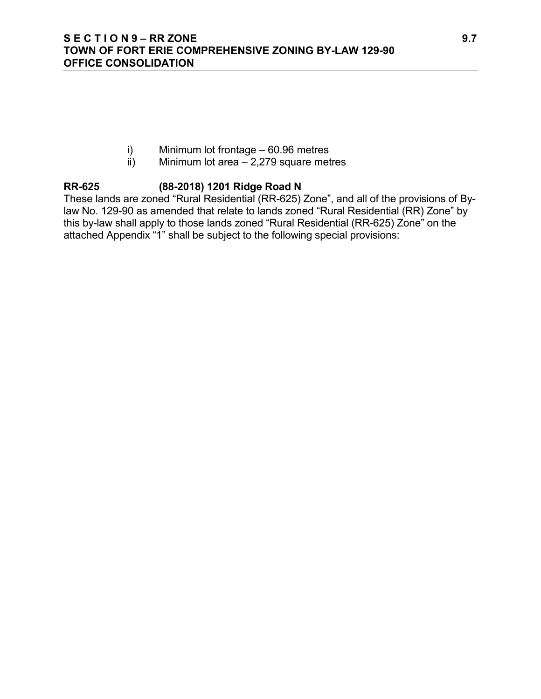- i) Minimum lot frontage 60.96 metres
- $\overrightarrow{ii}$  Minimum lot area 2,279 square metres

# **RR-625 (88-2018) 1201 Ridge Road N**

These lands are zoned "Rural Residential (RR-625) Zone", and all of the provisions of Bylaw No. 129-90 as amended that relate to lands zoned "Rural Residential (RR) Zone" by this by-law shall apply to those lands zoned "Rural Residential (RR-625) Zone" on the attached Appendix "1" shall be subject to the following special provisions: